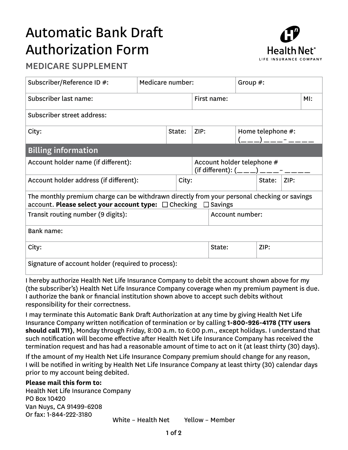## Automatic Bank Draft Authorization Form



## MEDICARE SUPPLEMENT

| Subscriber/Reference ID #:                                                                                                                                              | Medicare number: |        |       |                                                                           | Group $#$ :     |      |  |      |  |  |
|-------------------------------------------------------------------------------------------------------------------------------------------------------------------------|------------------|--------|-------|---------------------------------------------------------------------------|-----------------|------|--|------|--|--|
| Subscriber last name:                                                                                                                                                   |                  |        |       | First name:                                                               |                 |      |  | M!   |  |  |
| Subscriber street address:                                                                                                                                              |                  |        |       |                                                                           |                 |      |  |      |  |  |
| City:                                                                                                                                                                   |                  | State: |       | Home telephone #:<br>ZIP:                                                 |                 |      |  |      |  |  |
| <b>Billing information</b>                                                                                                                                              |                  |        |       |                                                                           |                 |      |  |      |  |  |
| Account holder name (if different):                                                                                                                                     |                  |        |       | Account holder telephone #<br>(if different): $($ _ _ _ ) _ _ _ _ - _ _ _ |                 |      |  |      |  |  |
| Account holder address (if different):                                                                                                                                  |                  |        | City: | State:                                                                    |                 |      |  | ZIP: |  |  |
| The monthly premium charge can be withdrawn directly from your personal checking or savings<br>account. Please select your account type: $\Box$ Checking $\Box$ Savings |                  |        |       |                                                                           |                 |      |  |      |  |  |
| Transit routing number (9 digits):                                                                                                                                      |                  |        |       |                                                                           | Account number: |      |  |      |  |  |
| Bank name:                                                                                                                                                              |                  |        |       |                                                                           |                 |      |  |      |  |  |
| City:                                                                                                                                                                   |                  |        |       |                                                                           | State:          | ZIP: |  |      |  |  |
| Signature of account holder (required to process):                                                                                                                      |                  |        |       |                                                                           |                 |      |  |      |  |  |

I hereby authorize Health Net Life Insurance Company to debit the account shown above for my (the subscriber's) Health Net Life Insurance Company coverage when my premium payment is due. I authorize the bank or financial institution shown above to accept such debits without responsibility for their correctness.

I may terminate this Automatic Bank Draft Authorization at any time by giving Health Net Life Insurance Company written notification of termination or by calling **1-800-926-4178 (TTY users should call 711)**, Monday through Friday, 8:00 a.m. to 6:00 p.m., except holidays. I understand that such notification will become effective after Health Net Life Insurance Company has received the termination request and has had a reasonable amount of time to act on it (at least thirty (30) days).

If the amount of my Health Net Life Insurance Company premium should change for any reason, I will be notified in writing by Health Net Life Insurance Company at least thirty (30) calendar days prior to my account being debited.

## **Please mail this form to:**

White – Health Net Yellow – Member Health Net Life Insurance Company PO Box 10420 Van Nuys, CA 91499-6208 Or fax: 1-844-222-3180